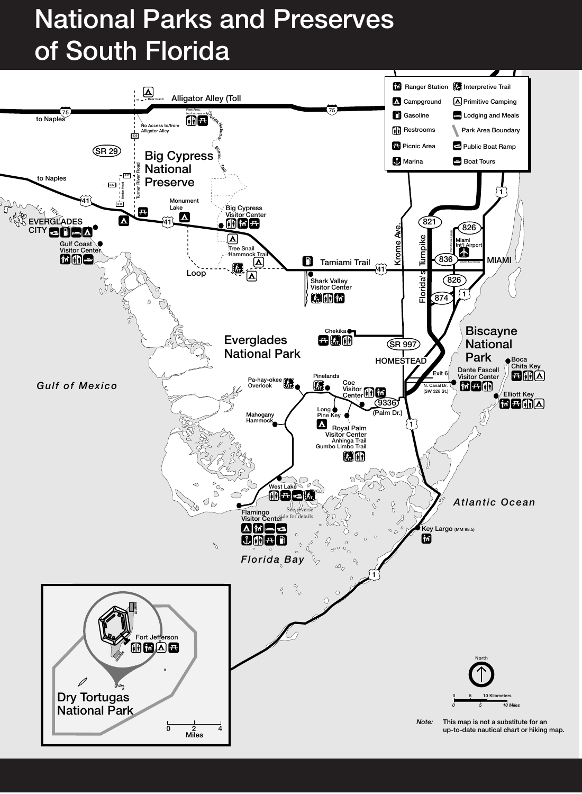# National Parks and Preserves of South Florida